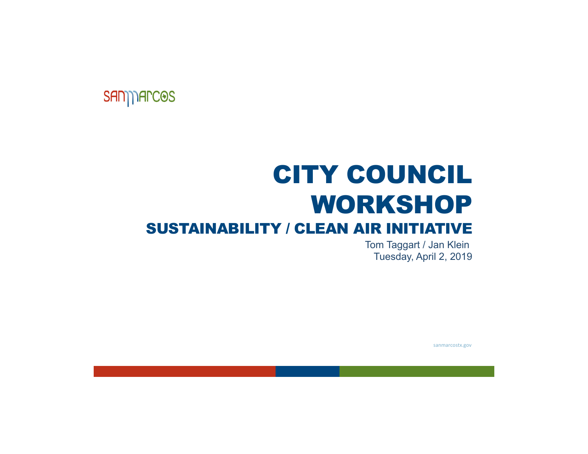# CITY COUNCILWORKSHOPSUSTAINABILITY / CLEAN AIR INITIATIVE

Tom Taggart / Jan Klein Tuesday, April 2, 2019

sanmarcostx.gov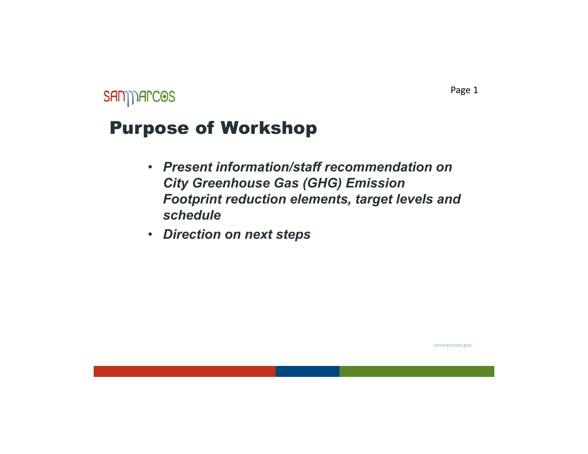## Purpose of Workshop

- *Present information/staff recommendation on City Greenhouse Gas (GHG) Emission Footprint reduction elements, target levels and schedule*
- *Direction on next steps*

Page 1

sanmarcostx.gov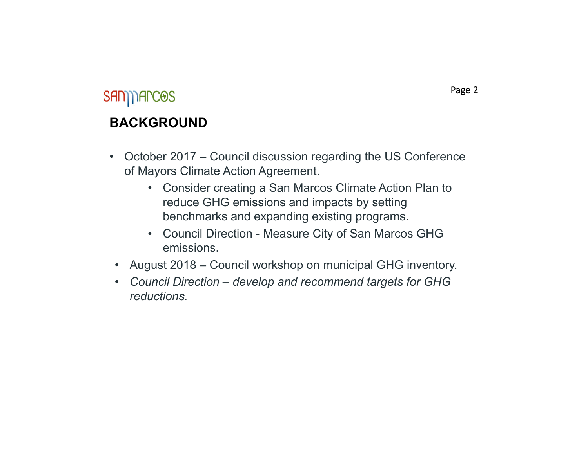## **SAN) ARCOS BACKGROUND**

- • October 2017 – Council discussion regarding the US Conference of Mayors Climate Action Agreement.
	- Consider creating a San Marcos Climate Action Plan to reduce GHG emissions and impacts by setting benchmarks and expanding existing programs.
	- Council Direction Measure City of San Marcos GHG emissions.
- August 2018 Council workshop on municipal GHG inventory.
- *Council Direction – develop and recommend targets for GHG reductions.*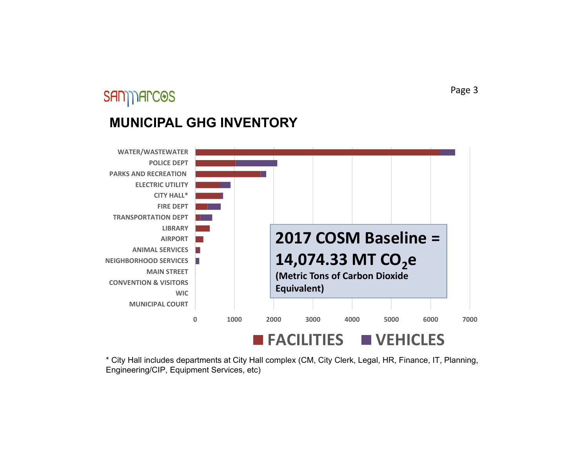#### **MUNICIPAL GHG INVENTORY**



\* City Hall includes departments at City Hall complex (CM, City Clerk, Legal, HR, Finance, IT, Planning, Engineering/CIP, Equipment Services, etc)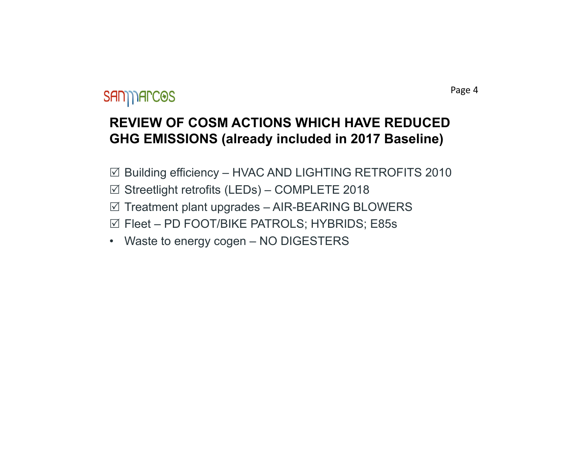#### **SAN) ARCOS**

#### **REVIEW OF COSM ACTIONS WHICH HAVE REDUCED GHG EMISSIONS (already included in 2017 Baseline)**

 $\boxtimes$  Building efficiency – HVAC AND LIGHTING RETROFITS 2010

- Streetlight retrofits (LEDs) COMPLETE 2018
- $\boxtimes$  Treatment plant upgrades AIR-BEARING BLOWERS
- Fleet PD FOOT/BIKE PATROLS; HYBRIDS; E85s
- Waste to energy cogen NO DIGESTERS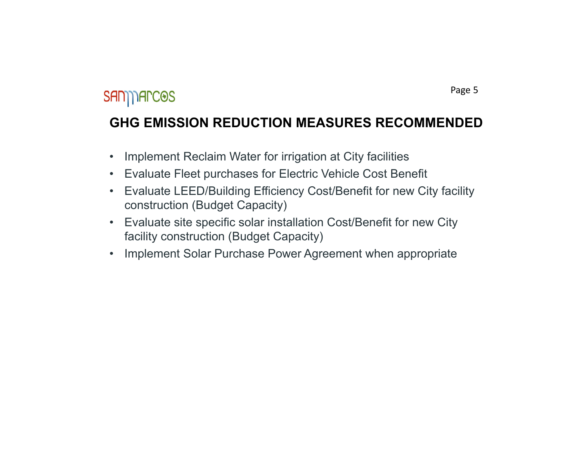#### **GHG EMISSION REDUCTION MEASURES RECOMMENDED**

- $\bullet$ Implement Reclaim Water for irrigation at City facilities
- •Evaluate Fleet purchases for Electric Vehicle Cost Benefit
- • Evaluate LEED/Building Efficiency Cost/Benefit for new City facility construction (Budget Capacity)
- • Evaluate site specific solar installation Cost/Benefit for new City facility construction (Budget Capacity)
- •Implement Solar Purchase Power Agreement when appropriate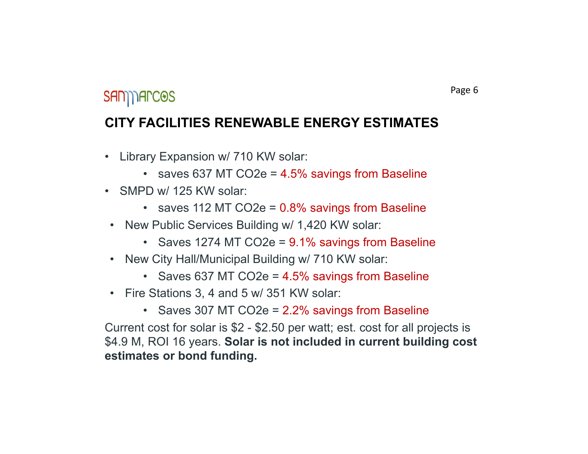## SAN) NAPCOS

#### **CITY FACILITIES RENEWABLE ENERGY ESTIMATES**

- Library Expansion w/ 710 KW solar:
	- saves 637 MT CO2e = 4.5% savings from Baseline
- SMPD w/ 125 KW solar:
	- saves 112 MT CO2e = 0.8% savings from Baseline
- New Public Services Building w/ 1,420 KW solar:
	- Saves 1274 MT CO2e = 9.1% savings from Baseline
- New City Hall/Municipal Building w/ 710 KW solar:
	- Saves 637 MT CO2e = 4.5% savings from Baseline
- Fire Stations 3, 4 and 5 w/ 351 KW solar:
	- Saves 307 MT CO2e = 2.2% savings from Baseline

Current cost for solar is \$2 - \$2.50 per watt; est. cost for all projects is \$4.9 M, ROI 16 years. **Solar is not included in current building cost estimates or bond funding.**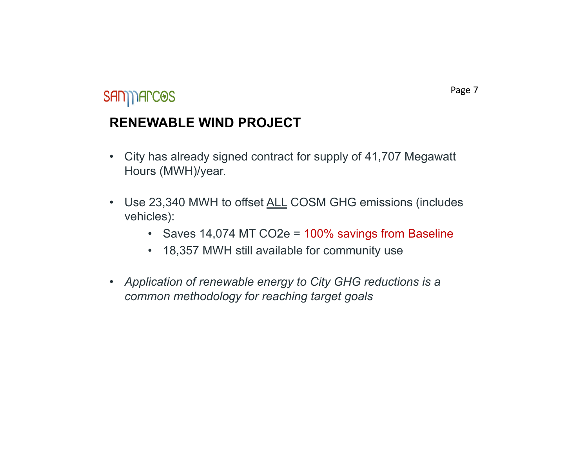#### **SAN) ARCOS**

#### **RENEWABLE WIND PROJECT**

- City has already signed contract for supply of 41,707 Megawatt Hours (MWH)/year.
- Use 23,340 MWH to offset ALL COSM GHG emissions (includes vehicles):
	- Saves 14,074 MT CO2e = 100% savings from Baseline
	- 18,357 MWH still available for community use
- *Application of renewable energy to City GHG reductions is a common methodology for reaching target goals*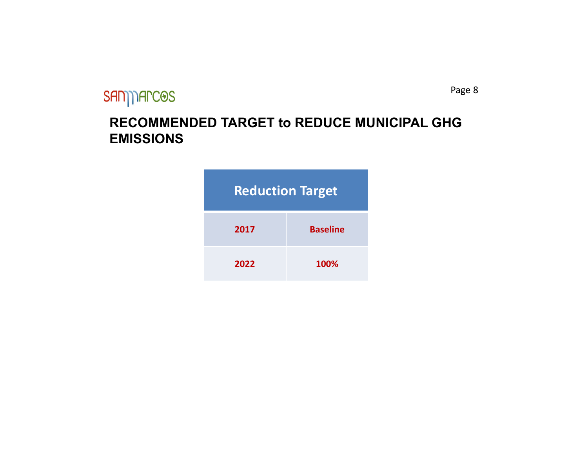## SAN) Arc<sup>os</sup>

#### **RECOMMENDED TARGET to REDUCE MUNICIPAL GHG EMISSIONS**

| <b>Reduction Target</b> |                 |
|-------------------------|-----------------|
| 2017                    | <b>Baseline</b> |
| 2022                    | 100%            |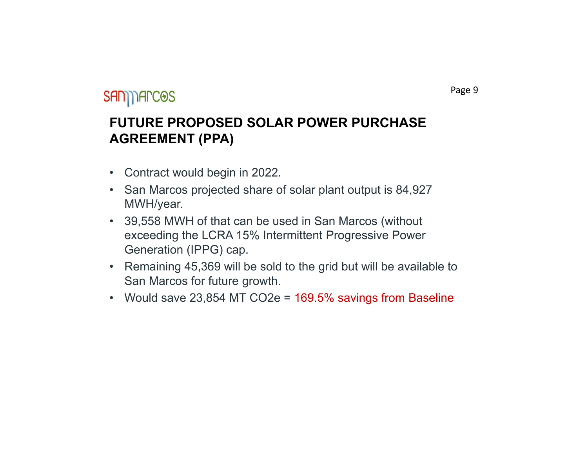#### **FUTURE PROPOSED SOLAR POWER PURCHASE AGREEMENT (PPA)**

- Contract would begin in 2022.
- San Marcos projected share of solar plant output is 84,927 MWH/year.
- 39,558 MWH of that can be used in San Marcos (without exceeding the LCRA 15% Intermittent Progressive Power Generation (IPPG) cap.
- Remaining 45,369 will be sold to the grid but will be available to San Marcos for future growth.
- Would save 23,854 MT CO2e = 169.5% savings from Baseline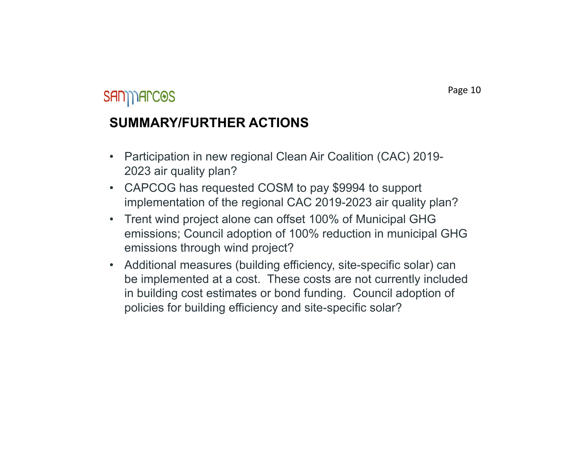### SAN) TAPCOS

#### **SUMMARY/FURTHER ACTIONS**

- Participation in new regional Clean Air Coalition (CAC) 2019- 2023 air quality plan?
- CAPCOG has requested COSM to pay \$9994 to support implementation of the regional CAC 2019-2023 air quality plan?
- Trent wind project alone can offset 100% of Municipal GHG emissions; Council adoption of 100% reduction in municipal GHG emissions through wind project?
- • Additional measures (building efficiency, site-specific solar) can be implemented at a cost. These costs are not currently included in building cost estimates or bond funding. Council adoption of policies for building efficiency and site-specific solar?

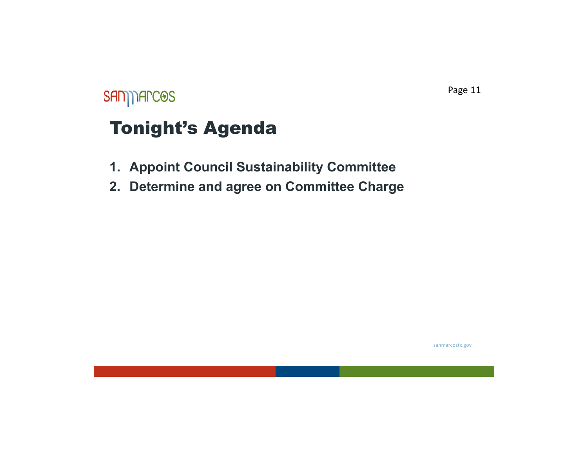### SAN) Arc<sup>OS</sup>

## Tonight's Agenda

- **1. Appoint Council Sustainability Committee**
- **2. Determine and agree on Committee Charge**

sanmarcostx.gov